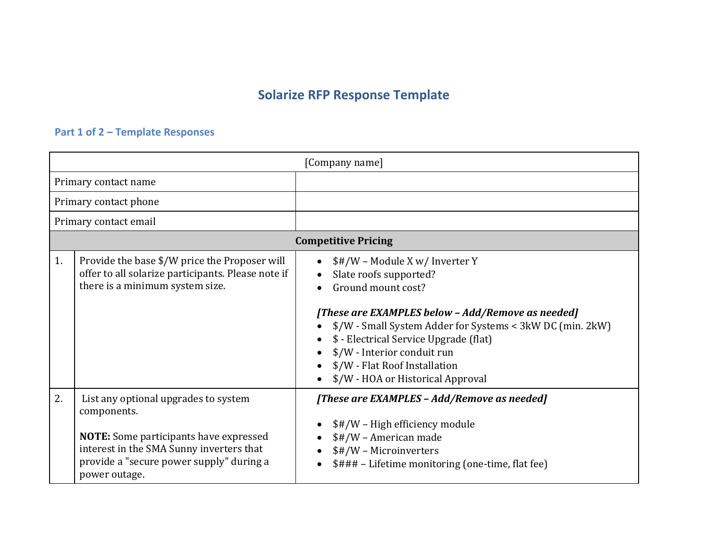## **Solarize RFP Response Template**

## **Part 1 of 2 – Template Responses**

| [Company name]             |                                                                                                                                                                                                               |                                                                                                                                                                                                                                                                                                                                                 |
|----------------------------|---------------------------------------------------------------------------------------------------------------------------------------------------------------------------------------------------------------|-------------------------------------------------------------------------------------------------------------------------------------------------------------------------------------------------------------------------------------------------------------------------------------------------------------------------------------------------|
|                            | Primary contact name                                                                                                                                                                                          |                                                                                                                                                                                                                                                                                                                                                 |
| Primary contact phone      |                                                                                                                                                                                                               |                                                                                                                                                                                                                                                                                                                                                 |
| Primary contact email      |                                                                                                                                                                                                               |                                                                                                                                                                                                                                                                                                                                                 |
| <b>Competitive Pricing</b> |                                                                                                                                                                                                               |                                                                                                                                                                                                                                                                                                                                                 |
| 1.                         | Provide the base \$/W price the Proposer will<br>offer to all solarize participants. Please note if<br>there is a minimum system size.                                                                        | \$#/W - Module X w/ Inverter Y<br>Slate roofs supported?<br>Ground mount cost?<br>[These are EXAMPLES below - Add/Remove as needed]<br>\$/W - Small System Adder for Systems < 3kW DC (min. 2kW)<br>\$ - Electrical Service Upgrade (flat)<br>\$/W - Interior conduit run<br>\$/W - Flat Roof Installation<br>\$/W - HOA or Historical Approval |
| 2.                         | List any optional upgrades to system<br>components.<br><b>NOTE:</b> Some participants have expressed<br>interest in the SMA Sunny inverters that<br>provide a "secure power supply" during a<br>power outage. | [These are EXAMPLES - Add/Remove as needed]<br>\$#/W - High efficiency module<br>\$#/W - American made<br>\$#/W - Microinverters<br>\$### - Lifetime monitoring (one-time, flat fee)                                                                                                                                                            |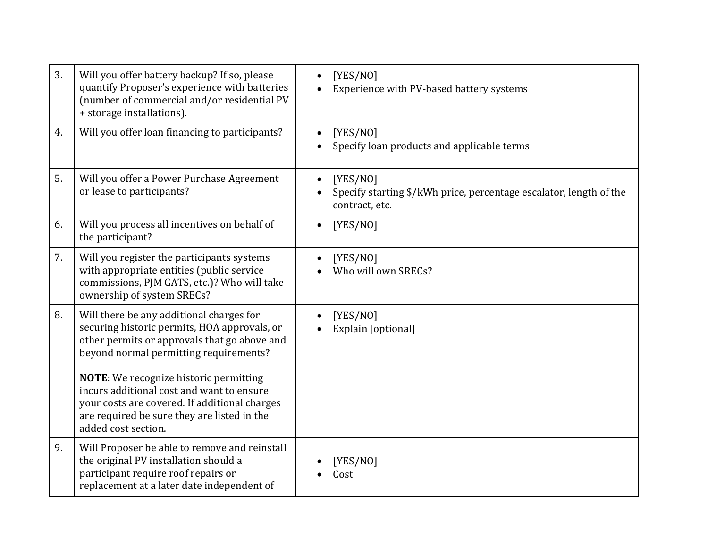| 3. | Will you offer battery backup? If so, please<br>quantify Proposer's experience with batteries<br>(number of commercial and/or residential PV<br>+ storage installations).                                         | [YES/NO]<br>Experience with PV-based battery systems                                             |
|----|-------------------------------------------------------------------------------------------------------------------------------------------------------------------------------------------------------------------|--------------------------------------------------------------------------------------------------|
| 4. | Will you offer loan financing to participants?                                                                                                                                                                    | [YES/NO]<br>Specify loan products and applicable terms                                           |
| 5. | Will you offer a Power Purchase Agreement<br>or lease to participants?                                                                                                                                            | [YES/NO]<br>Specify starting \$/kWh price, percentage escalator, length of the<br>contract, etc. |
| 6. | Will you process all incentives on behalf of<br>the participant?                                                                                                                                                  | [YES/NO]                                                                                         |
| 7. | Will you register the participants systems<br>with appropriate entities (public service<br>commissions, PJM GATS, etc.)? Who will take<br>ownership of system SRECs?                                              | [YES/NO]<br>Who will own SRECs?                                                                  |
| 8. | Will there be any additional charges for<br>securing historic permits, HOA approvals, or<br>other permits or approvals that go above and<br>beyond normal permitting requirements?                                | [YES/NO]<br>Explain [optional]                                                                   |
|    | <b>NOTE:</b> We recognize historic permitting<br>incurs additional cost and want to ensure<br>your costs are covered. If additional charges<br>are required be sure they are listed in the<br>added cost section. |                                                                                                  |
| 9. | Will Proposer be able to remove and reinstall<br>the original PV installation should a<br>participant require roof repairs or<br>replacement at a later date independent of                                       | [YES/NO]<br>Cost                                                                                 |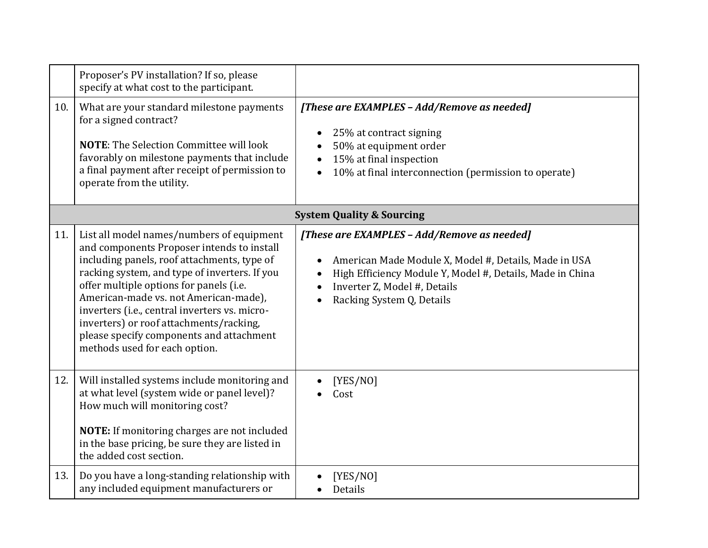|     | Proposer's PV installation? If so, please<br>specify at what cost to the participant.                                                                                                                                                                                                                                                                                                                                                                |                                                                                                                                                                                                                                |  |
|-----|------------------------------------------------------------------------------------------------------------------------------------------------------------------------------------------------------------------------------------------------------------------------------------------------------------------------------------------------------------------------------------------------------------------------------------------------------|--------------------------------------------------------------------------------------------------------------------------------------------------------------------------------------------------------------------------------|--|
| 10. | What are your standard milestone payments<br>for a signed contract?<br><b>NOTE:</b> The Selection Committee will look<br>favorably on milestone payments that include<br>a final payment after receipt of permission to<br>operate from the utility.                                                                                                                                                                                                 | [These are EXAMPLES - Add/Remove as needed]<br>25% at contract signing<br>50% at equipment order<br>15% at final inspection<br>10% at final interconnection (permission to operate)                                            |  |
|     | <b>System Quality &amp; Sourcing</b>                                                                                                                                                                                                                                                                                                                                                                                                                 |                                                                                                                                                                                                                                |  |
| 11. | List all model names/numbers of equipment<br>and components Proposer intends to install<br>including panels, roof attachments, type of<br>racking system, and type of inverters. If you<br>offer multiple options for panels (i.e.<br>American-made vs. not American-made),<br>inverters (i.e., central inverters vs. micro-<br>inverters) or roof attachments/racking,<br>please specify components and attachment<br>methods used for each option. | [These are EXAMPLES - Add/Remove as needed]<br>American Made Module X, Model #, Details, Made in USA<br>High Efficiency Module Y, Model #, Details, Made in China<br>Inverter Z, Model #, Details<br>Racking System Q, Details |  |
| 12. | Will installed systems include monitoring and<br>at what level (system wide or panel level)?<br>How much will monitoring cost?<br>NOTE: If monitoring charges are not included<br>in the base pricing, be sure they are listed in<br>the added cost section.                                                                                                                                                                                         | [YES/NO]<br>Cost                                                                                                                                                                                                               |  |
| 13. | Do you have a long-standing relationship with<br>any included equipment manufacturers or                                                                                                                                                                                                                                                                                                                                                             | [YES/NO]<br>Details                                                                                                                                                                                                            |  |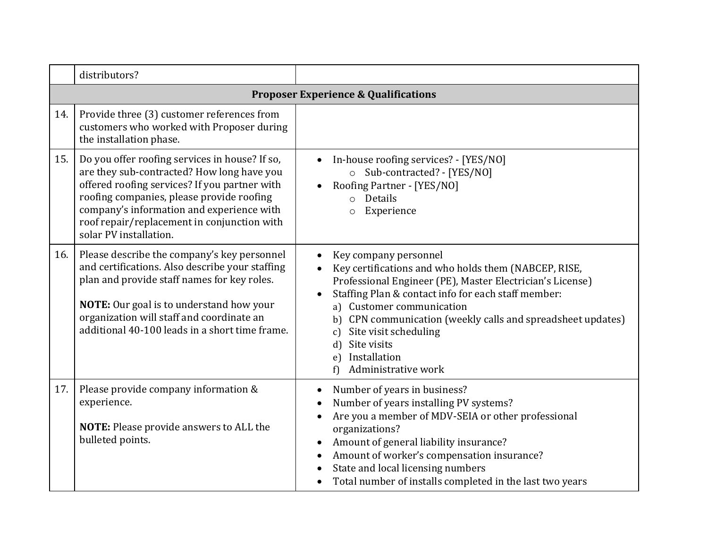|     | distributors?                                                                                                                                                                                                                                                                                                    |                                                                                                                                                                                                                                                                                                                                                                                                                       |  |  |
|-----|------------------------------------------------------------------------------------------------------------------------------------------------------------------------------------------------------------------------------------------------------------------------------------------------------------------|-----------------------------------------------------------------------------------------------------------------------------------------------------------------------------------------------------------------------------------------------------------------------------------------------------------------------------------------------------------------------------------------------------------------------|--|--|
|     | <b>Proposer Experience &amp; Qualifications</b>                                                                                                                                                                                                                                                                  |                                                                                                                                                                                                                                                                                                                                                                                                                       |  |  |
| 14. | Provide three (3) customer references from<br>customers who worked with Proposer during<br>the installation phase.                                                                                                                                                                                               |                                                                                                                                                                                                                                                                                                                                                                                                                       |  |  |
| 15. | Do you offer roofing services in house? If so,<br>are they sub-contracted? How long have you<br>offered roofing services? If you partner with<br>roofing companies, please provide roofing<br>company's information and experience with<br>roof repair/replacement in conjunction with<br>solar PV installation. | In-house roofing services? - [YES/NO]<br>o Sub-contracted? - [YES/NO]<br>Roofing Partner - [YES/NO]<br>o Details<br>Experience<br>$\circ$                                                                                                                                                                                                                                                                             |  |  |
| 16. | Please describe the company's key personnel<br>and certifications. Also describe your staffing<br>plan and provide staff names for key roles.<br><b>NOTE:</b> Our goal is to understand how your<br>organization will staff and coordinate an<br>additional 40-100 leads in a short time frame.                  | Key company personnel<br>Key certifications and who holds them (NABCEP, RISE,<br>Professional Engineer (PE), Master Electrician's License)<br>Staffing Plan & contact info for each staff member:<br>a) Customer communication<br>CPN communication (weekly calls and spreadsheet updates)<br>b)<br>Site visit scheduling<br>$\mathcal{C}$<br>Site visits<br>d<br>Installation<br>$\epsilon$ )<br>Administrative work |  |  |
| 17. | Please provide company information &<br>experience.<br><b>NOTE:</b> Please provide answers to ALL the<br>bulleted points.                                                                                                                                                                                        | Number of years in business?<br>Number of years installing PV systems?<br>Are you a member of MDV-SEIA or other professional<br>organizations?<br>Amount of general liability insurance?<br>Amount of worker's compensation insurance?<br>State and local licensing numbers<br>Total number of installs completed in the last two years                                                                               |  |  |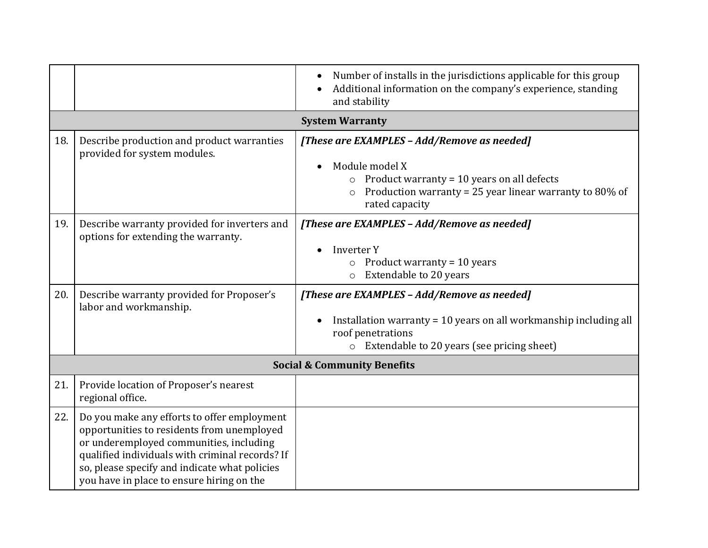|                                        |                                                                                                                                                                                                                                                                                       | Number of installs in the jurisdictions applicable for this group<br>Additional information on the company's experience, standing<br>and stability                                                             |
|----------------------------------------|---------------------------------------------------------------------------------------------------------------------------------------------------------------------------------------------------------------------------------------------------------------------------------------|----------------------------------------------------------------------------------------------------------------------------------------------------------------------------------------------------------------|
| <b>System Warranty</b>                 |                                                                                                                                                                                                                                                                                       |                                                                                                                                                                                                                |
| 18.                                    | Describe production and product warranties<br>provided for system modules.                                                                                                                                                                                                            | [These are EXAMPLES - Add/Remove as needed]<br>Module model X<br>Product warranty = 10 years on all defects<br>$\circ$<br>Production warranty = 25 year linear warranty to 80% of<br>$\circ$<br>rated capacity |
| 19.                                    | Describe warranty provided for inverters and<br>options for extending the warranty.                                                                                                                                                                                                   | [These are EXAMPLES - Add/Remove as needed]<br>Inverter Y<br>Product warranty = 10 years<br>Extendable to 20 years<br>$\circ$                                                                                  |
| 20.                                    | Describe warranty provided for Proposer's<br>labor and workmanship.                                                                                                                                                                                                                   | [These are EXAMPLES - Add/Remove as needed]<br>Installation warranty = 10 years on all workmanship including all<br>roof penetrations<br>o Extendable to 20 years (see pricing sheet)                          |
| <b>Social &amp; Community Benefits</b> |                                                                                                                                                                                                                                                                                       |                                                                                                                                                                                                                |
| 21.                                    | Provide location of Proposer's nearest<br>regional office.                                                                                                                                                                                                                            |                                                                                                                                                                                                                |
| 22.                                    | Do you make any efforts to offer employment<br>opportunities to residents from unemployed<br>or underemployed communities, including<br>qualified individuals with criminal records? If<br>so, please specify and indicate what policies<br>you have in place to ensure hiring on the |                                                                                                                                                                                                                |